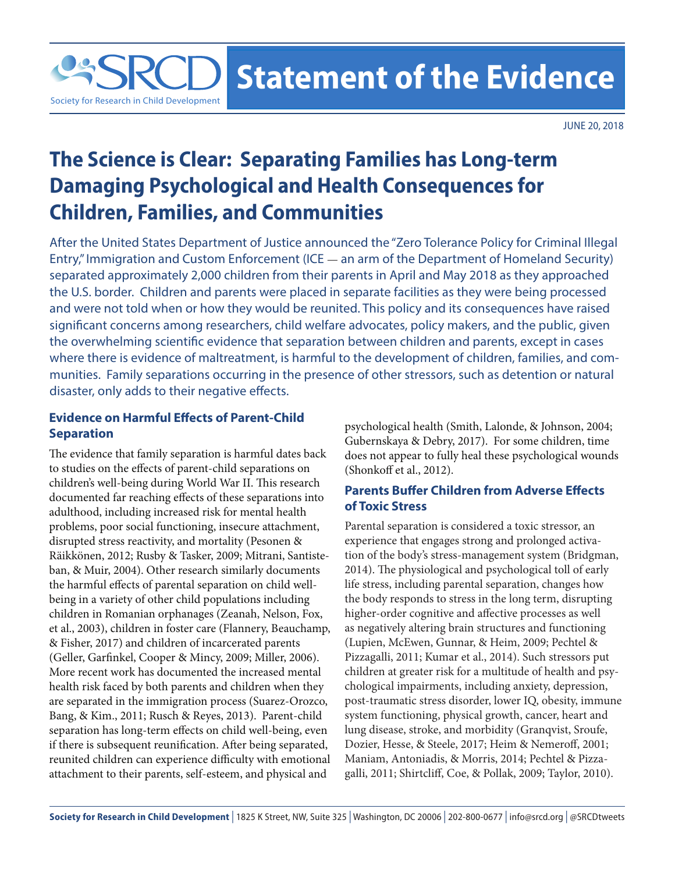**Statement of the Evidence** 

JUNE 20, 2018

# **The Science is Clear: Separating Families has Long-term Damaging Psychological and Health Consequences for Children, Families, and Communities**

After the United States Department of Justice announced the "Zero Tolerance Policy for Criminal Illegal Entry," Immigration and Custom Enforcement (ICE — an arm of the Department of Homeland Security) separated approximately 2,000 children from their parents in April and May 2018 as they approached the U.S. border. Children and parents were placed in separate facilities as they were being processed and were not told when or how they would be reunited. This policy and its consequences have raised significant concerns among researchers, child welfare advocates, policy makers, and the public, given the overwhelming scientific evidence that separation between children and parents, except in cases where there is evidence of maltreatment, is harmful to the development of children, families, and communities. Family separations occurring in the presence of other stressors, such as detention or natural disaster, only adds to their negative effects.

# **Evidence on Harmful Effects of Parent-Child Separation**

Society for Research in Child Development

The evidence that family separation is harmful dates back to studies on the effects of parent-child separations on children's well-being during World War II. This research documented far reaching effects of these separations into adulthood, including increased risk for mental health problems, poor social functioning, insecure attachment, disrupted stress reactivity, and mortality (Pesonen & Räikkönen, 2012; Rusby & Tasker, 2009; Mitrani, Santisteban, & Muir, 2004). Other research similarly documents the harmful effects of parental separation on child wellbeing in a variety of other child populations including children in Romanian orphanages (Zeanah, Nelson, Fox, et al., 2003), children in foster care (Flannery, Beauchamp, & Fisher, 2017) and children of incarcerated parents (Geller, Garfinkel, Cooper & Mincy, 2009; Miller, 2006). More recent work has documented the increased mental health risk faced by both parents and children when they are separated in the immigration process (Suarez-Orozco, Bang, & Kim., 2011; Rusch & Reyes, 2013). Parent-child separation has long-term effects on child well-being, even if there is subsequent reunification. After being separated, reunited children can experience difficulty with emotional attachment to their parents, self-esteem, and physical and

psychological health (Smith, Lalonde, & Johnson, 2004; Gubernskaya & Debry, 2017). For some children, time does not appear to fully heal these psychological wounds (Shonkoff et al., 2012).

# **Parents Buffer Children from Adverse Effects of Toxic Stress**

Parental separation is considered a toxic stressor, an experience that engages strong and prolonged activation of the body's stress-management system (Bridgman, 2014). The physiological and psychological toll of early life stress, including parental separation, changes how the body responds to stress in the long term, disrupting higher-order cognitive and affective processes as well as negatively altering brain structures and functioning (Lupien, McEwen, Gunnar, & Heim, 2009; Pechtel & Pizzagalli, 2011; Kumar et al., 2014). Such stressors put children at greater risk for a multitude of health and psychological impairments, including anxiety, depression, post-traumatic stress disorder, lower IQ, obesity, immune system functioning, physical growth, cancer, heart and lung disease, stroke, and morbidity (Granqvist, Sroufe, Dozier, Hesse, & Steele, 2017; Heim & Nemeroff, 2001; Maniam, Antoniadis, & Morris, 2014; Pechtel & Pizzagalli, 2011; Shirtcliff, Coe, & Pollak, 2009; Taylor, 2010).